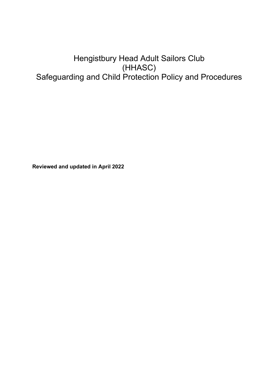# Hengistbury Head Adult Sailors Club (HHASC) Safeguarding and Child Protection Policy and Procedures

**Reviewed and updated in April 2022**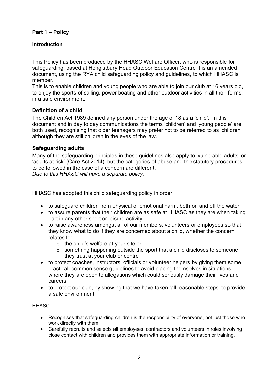# **Part 1 – Policy**

## **Introduction**

This Policy has been produced by the HHASC Welfare Officer, who is responsible for safeguarding, based at Hengistbury Head Outdoor Education Centre It is an amended document, using the RYA child safeguarding policy and guidelines, to which HHASC is member.

This is to enable children and young people who are able to join our club at 16 years old, to enjoy the sports of sailing, power boating and other outdoor activities in all their forms, in a safe environment.

## **Definition of a child**

The Children Act 1989 defined any person under the age of 18 as a 'child'. In this document and in day to day communications the terms 'children' and 'young people' are both used, recognising that older teenagers may prefer not to be referred to as 'children' although they are still children in the eyes of the law.

## **Safeguarding adults**

Many of the safeguarding principles in these guidelines also apply to 'vulnerable adults' or 'adults at risk' (Care Act 2014), but the categories of abuse and the statutory procedures to be followed in the case of a concern are different. *Due to this HHASC will have a separate policy*.

HHASC has adopted this child safeguarding policy in order:

- to safeguard children from physical or emotional harm, both on and off the water
- to assure parents that their children are as safe at HHASC as they are when taking part in any other sport or leisure activity
- to raise awareness amongst all of our members, volunteers or employees so that they know what to do if they are concerned about a child, whether the concern relates to:
	- o the child's welfare at your site or
	- $\circ$  something happening outside the sport that a child discloses to someone they trust at your club or centre
- to protect coaches, instructors, officials or volunteer helpers by giving them some practical, common sense guidelines to avoid placing themselves in situations where they are open to allegations which could seriously damage their lives and careers
- to protect our club, by showing that we have taken 'all reasonable steps' to provide a safe environment.

HHASC:

- Recognises that safeguarding children is the responsibility of everyone, not just those who work directly with them.
- Carefully recruits and selects all employees, contractors and volunteers in roles involving close contact with children and provides them with appropriate information or training.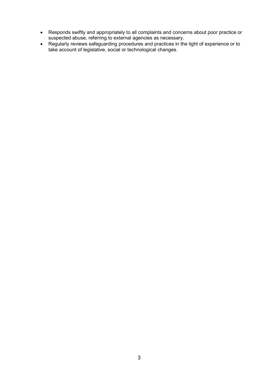- Responds swiftly and appropriately to all complaints and concerns about poor practice or suspected abuse, referring to external agencies as necessary.
- Regularly reviews safeguarding procedures and practices in the light of experience or to take account of legislative, social or technological changes.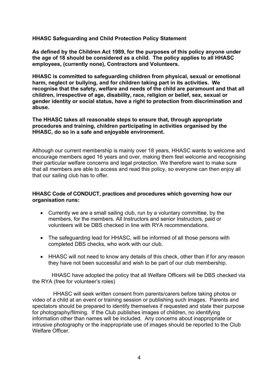**HHASC Safeguarding and Child Protection Policy Statement**

**As defined by the Children Act 1989, for the purposes of this policy anyone under the age of 18 should be considered as a child. The policy applies to all HHASC employees, (currently none), Contractors and Volunteers.** 

**HHASC is committed to safeguarding children from physical, sexual or emotional harm, neglect or bullying, and for children taking part in its activities. We recognise that the safety, welfare and needs of the child are paramount and that all children, irrespective of age, disability, race, religion or belief, sex, sexual or gender identity or social status, have a right to protection from discrimination and abuse.** 

**The HHASC takes all reasonable steps to ensure that, through appropriate procedures and training, children participating in activities organised by the HHASC, do so in a safe and enjoyable environment.** 

Although our current membership is mainly over 18 years, HHASC wants to welcome and encourage members aged 16 years and over, making them feel welcome and recognising their particular welfare concerns and legal protection. We therefore want to make sure that all members are able to access and read this policy, so everyone can then enjoy all that our sailing club has to offer.

#### **HHASC Code of CONDUCT, practices and procedures which governing how our organisation runs:**

- Currently we are a small sailing club, run by a voluntary committee, by the members, for the members. All Instructors and senior Instructors, paid or volunteers will be DBS checked in line with RYA recommendations.
- The safeguarding lead for HHASC, will be informed of all those persons with completed DBS checks, who work with our club.
- HHASC will not need to know any details of this check, other than if for any reason they have not been successful and wish to be part of our club membership.

 HHASC have adopted the policy that all Welfare Officers will be DBS checked via the RYA (free for volunteer's roles)

 HHASC will seek written consent from parents/carers before taking photos or video of a child at an event or training session or publishing such images. Parents and spectators should be prepared to identify themselves if requested and state their purpose for photography/filming. If the Club publishes images of children, no identifying information other than names will be included. Any concerns about inappropriate or intrusive photography or the inappropriate use of images should be reported to the Club Welfare Officer.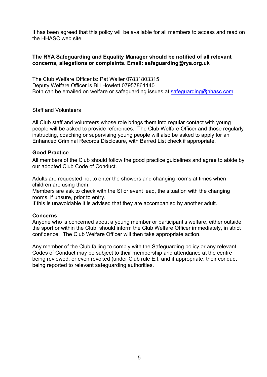It has been agreed that this policy will be available for all members to access and read on the HHASC web site

#### **The RYA Safeguarding and Equality Manager should be notified of all relevant concerns, allegations or complaints. Email: safeguarding@rya.org.uk**

The Club Welfare Officer is: Pat Waller 07831803315 Deputy Welfare Officer is Bill Howlett 07957861140 Both can be emailed on welfare or safeguarding issues at:safeguarding@hhasc.com

Staff and Volunteers

All Club staff and volunteers whose role brings them into regular contact with young people will be asked to provide references. The Club Welfare Officer and those regularly instructing, coaching or supervising young people will also be asked to apply for an Enhanced Criminal Records Disclosure, with Barred List check if appropriate.

#### **Good Practice**

All members of the Club should follow the good practice guidelines and agree to abide by our adopted Club Code of Conduct.

Adults are requested not to enter the showers and changing rooms at times when children are using them.

Members are ask to check with the SI or event lead, the situation with the changing rooms, if unsure, prior to entry.

If this is unavoidable it is advised that they are accompanied by another adult.

#### **Concerns**

Anyone who is concerned about a young member or participant's welfare, either outside the sport or within the Club, should inform the Club Welfare Officer immediately, in strict confidence. The Club Welfare Officer will then take appropriate action.

Any member of the Club failing to comply with the Safeguarding policy or any relevant Codes of Conduct may be subject to their membership and attendance at the centre being reviewed, or even revoked (under Club rule E.f, and if appropriate, their conduct being reported to relevant safeguarding authorities.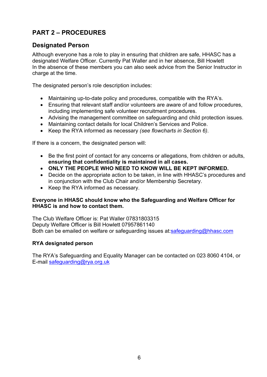# **PART 2 – PROCEDURES**

# **Designated Person**

Although everyone has a role to play in ensuring that children are safe, HHASC has a designated Welfare Officer. Currently Pat Waller and in her absence, Bill Howlett In the absence of these members you can also seek advice from the Senior Instructor in charge at the time.

The designated person's role description includes:

- Maintaining up-to-date policy and procedures, compatible with the RYA's.
- Ensuring that relevant staff and/or volunteers are aware of and follow procedures, including implementing safe volunteer recruitment procedures.
- Advising the management committee on safeguarding and child protection issues.
- Maintaining contact details for local Children's Services and Police.
- Keep the RYA informed as necessary *(see flowcharts in Section 6)*.

If there is a concern, the designated person will:

- Be the first point of contact for any concerns or allegations, from children or adults, **ensuring that confidentiality is maintained in all cases.**
- **ONLY THE PEOPLE WHO NEED TO KNOW WILL BE KEPT INFORMED.**
- Decide on the appropriate action to be taken, in line with HHASC's procedures and in conjunction with the Club Chair and/or Membership Secretary.
- Keep the RYA informed as necessary.

# **Everyone in HHASC should know who the Safeguarding and Welfare Officer for HHASC is and how to contact them.**

The Club Welfare Officer is: Pat Waller 07831803315 Deputy Welfare Officer is Bill Howlett 07957861140 Both can be emailed on welfare or safeguarding issues at:safeguarding@hhasc.com

# **RYA designated person**

The RYA's Safeguarding and Equality Manager can be contacted on 023 8060 4104, or E-mail safeguarding@rya.org.uk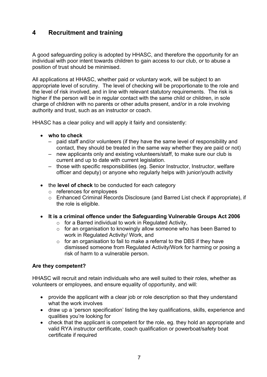# **4 Recruitment and training**

A good safeguarding policy is adopted by HHASC, and therefore the opportunity for an individual with poor intent towards children to gain access to our club, or to abuse a position of trust should be minimised.

All applications at HHASC, whether paid or voluntary work, will be subject to an appropriate level of scrutiny. The level of checking will be proportionate to the role and the level of risk involved, and in line with relevant statutory requirements. The risk is higher if the person will be in regular contact with the same child or children, in sole charge of children with no parents or other adults present, and/or in a role involving authority and trust, such as an instructor or coach.

HHASC has a clear policy and will apply it fairly and consistently:

- **who to check** 
	- paid staff and/or volunteers (if they have the same level of responsibility and contact, they should be treated in the same way whether they are paid or not)
	- new applicants only and existing volunteers/staff, to make sure our club is current and up to date with current legislation.
	- those with specific responsibilities (eg. Senior Instructor, Instructor, welfare officer and deputy) or anyone who regularly helps with junior/youth activity
- the **level of check** to be conducted for each category
	- o references for employees
	- o Enhanced Criminal Records Disclosure (and Barred List check if appropriate), if the role is eligible.
- **It is a criminal offence under the Safeguarding Vulnerable Groups Act 2006** 
	- o for a Barred individual to work in Regulated Activity,
	- $\circ$  for an organisation to knowingly allow someone who has been Barred to work in Regulated Activity/ Work, and
	- $\circ$  for an organisation to fail to make a referral to the DBS if they have dismissed someone from Regulated Activity/Work for harming or posing a risk of harm to a vulnerable person.

# **Are they competent?**

HHASC will recruit and retain individuals who are well suited to their roles, whether as volunteers or employees, and ensure equality of opportunity, and will:

- provide the applicant with a clear job or role description so that they understand what the work involves
- draw up a 'person specification' listing the key qualifications, skills, experience and qualities you're looking for
- check that the applicant is competent for the role, eg. they hold an appropriate and valid RYA instructor certificate, coach qualification or powerboat/safety boat certificate if required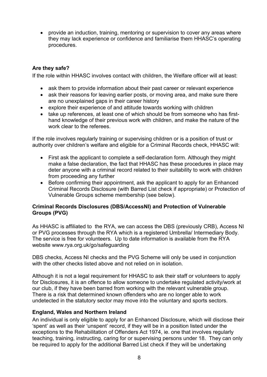provide an induction, training, mentoring or supervision to cover any areas where they may lack experience or confidence and familiarise them HHASC's operating procedures.

# **Are they safe?**

If the role within HHASC involves contact with children, the Welfare officer will at least:

- ask them to provide information about their past career or relevant experience
- ask their reasons for leaving earlier posts, or moving area, and make sure there are no unexplained gaps in their career history
- explore their experience of and attitude towards working with children
- take up references, at least one of which should be from someone who has firsthand knowledge of their previous work with children, and make the nature of the work clear to the referees.

If the role involves regularly training or supervising children or is a position of trust or authority over children's welfare and eligible for a Criminal Records check, HHASC will:

- First ask the applicant to complete a self-declaration form. Although they might make a false declaration, the fact that HHASC has these procedures in place may deter anyone with a criminal record related to their suitability to work with children from proceeding any further
- Before confirming their appointment, ask the applicant to apply for an Enhanced Criminal Records Disclosure (with Barred List check if appropriate) or Protection of Vulnerable Groups scheme membership (see below).

#### **Criminal Records Disclosures (DBS/AccessNI) and Protection of Vulnerable Groups (PVG)**

As HHASC is affiliated to the RYA, we can access the DBS (previously CRB), Access NI or PVG processes through the RYA which is a registered Umbrella/ Intermediary Body. The service is free for volunteers. Up to date information is available from the RYA website www.rya.org.uk/go/safeguarding

DBS checks, Access NI checks and the PVG Scheme will only be used in conjunction with the other checks listed above and not relied on in isolation.

Although it is not a legal requirement for HHASC to ask their staff or volunteers to apply for Disclosures, it is an offence to allow someone to undertake regulated activity/work at our club, if they have been barred from working with the relevant vulnerable group. There is a risk that determined known offenders who are no longer able to work undetected in the statutory sector may move into the voluntary and sports sectors.

#### **England, Wales and Northern Ireland**

An individual is only eligible to apply for an Enhanced Disclosure, which will disclose their 'spent' as well as their 'unspent' record, if they will be in a position listed under the exceptions to the Rehabilitation of Offenders Act 1974, ie. one that involves regularly teaching, training, instructing, caring for or supervising persons under 18. They can only be required to apply for the additional Barred List check if they will be undertaking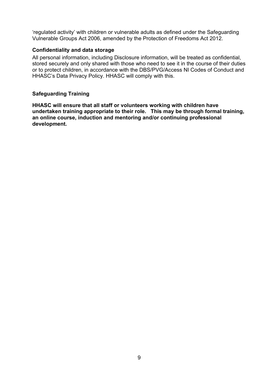'regulated activity' with children or vulnerable adults as defined under the Safeguarding Vulnerable Groups Act 2006, amended by the Protection of Freedoms Act 2012.

## **Confidentiality and data storage**

All personal information, including Disclosure information, will be treated as confidential, stored securely and only shared with those who need to see it in the course of their duties or to protect children, in accordance with the DBS/PVG/Access NI Codes of Conduct and HHASC's Data Privacy Policy. HHASC will comply with this.

# **Safeguarding Training**

**HHASC will ensure that all staff or volunteers working with children have undertaken training appropriate to their role. This may be through formal training, an online course, induction and mentoring and/or continuing professional development.**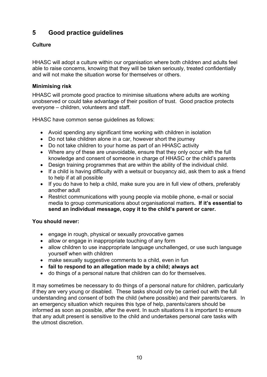# **5 Good practice guidelines**

# **Culture**

HHASC will adopt a culture within our organisation where both children and adults feel able to raise concerns, knowing that they will be taken seriously, treated confidentially and will not make the situation worse for themselves or others.

# **Minimising risk**

HHASC will promote good practice to minimise situations where adults are working unobserved or could take advantage of their position of trust. Good practice protects everyone – children, volunteers and staff.

HHASC have common sense guidelines as follows:

- Avoid spending any significant time working with children in isolation
- Do not take children alone in a car, however short the journey
- Do not take children to your home as part of an HHASC activity
- Where any of these are unavoidable, ensure that they only occur with the full knowledge and consent of someone in charge of HHASC or the child's parents
- Design training programmes that are within the ability of the individual child.
- If a child is having difficulty with a wetsuit or buoyancy aid, ask them to ask a friend to help if at all possible
- If you do have to help a child, make sure you are in full view of others, preferably another adult
- Restrict communications with young people via mobile phone, e-mail or social media to group communications about organisational matters**. If it's essential to send an individual message, copy it to the child's parent or carer.**

# **You should never:**

- engage in rough, physical or sexually provocative games
- allow or engage in inappropriate touching of any form
- allow children to use inappropriate language unchallenged, or use such language yourself when with children
- make sexually suggestive comments to a child, even in fun
- **fail to respond to an allegation made by a child; always act**
- do things of a personal nature that children can do for themselves.

It may sometimes be necessary to do things of a personal nature for children, particularly if they are very young or disabled. These tasks should only be carried out with the full understanding and consent of both the child (where possible) and their parents/carers. In an emergency situation which requires this type of help, parents/carers should be informed as soon as possible, after the event. In such situations it is important to ensure that any adult present is sensitive to the child and undertakes personal care tasks with the utmost discretion.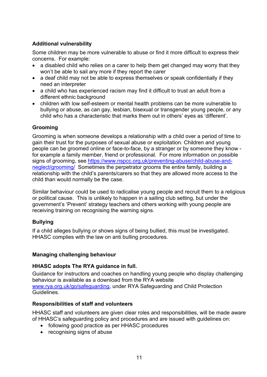# **Additional vulnerability**

Some children may be more vulnerable to abuse or find it more difficult to express their concerns. For example:

- a disabled child who relies on a carer to help them get changed may worry that they won't be able to sail any more if they report the carer
- a deaf child may not be able to express themselves or speak confidentially if they need an interpreter
- a child who has experienced racism may find it difficult to trust an adult from a different ethnic background
- children with low self-esteem or mental health problems can be more vulnerable to bullying or abuse, as can gay, lesbian, bisexual or transgender young people, or any child who has a characteristic that marks them out in others' eyes as 'different'.

# **Grooming**

Grooming is when someone develops a relationship with a child over a period of time to gain their trust for the purposes of sexual abuse or exploitation. Children and young people can be groomed online or face-to-face, by a stranger or by someone they know for example a family member, friend or professional. For more information on possible signs of grooming, see https://www.nspcc.org.uk/preventing-abuse/child-abuse-andneglect/grooming/ Sometimes the perpetrator grooms the entire family, building a relationship with the child's parents/carers so that they are allowed more access to the child than would normally be the case.

Similar behaviour could be used to radicalise young people and recruit them to a religious or political cause. This is unlikely to happen in a sailing club setting, but under the government's 'Prevent' strategy teachers and others working with young people are receiving training on recognising the warning signs.

# **Bullying**

If a child alleges bullying or shows signs of being bullied, this must be investigated. HHASC complies with the law on anti bulling procedures.

# **Managing challenging behaviour**

#### **HHASC adopts The RYA guidance in full.**

Guidance for instructors and coaches on handling young people who display challenging behaviour is available as a download from the RYA website www.rya.org.uk/go/safeguarding, under RYA Safeguarding and Child Protection Guidelines.

# **Responsibilities of staff and volunteers**

HHASC staff and volunteers are given clear roles and responsibilities, will be made aware of HHASC's safeguarding policy and procedures and are issued with guidelines on:

- following good practice as per HHASC procedures
- recognising signs of abuse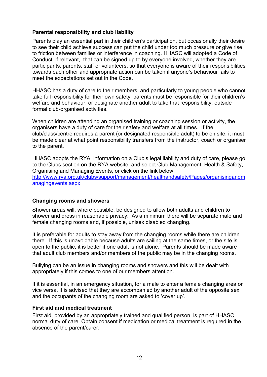#### **Parental responsibility and club liability**

Parents play an essential part in their children's participation, but occasionally their desire to see their child achieve success can put the child under too much pressure or give rise to friction between families or interference in coaching. HHASC will adopted a Code of Conduct, if relevant, that can be signed up to by everyone involved, whether they are participants, parents, staff or volunteers, so that everyone is aware of their responsibilities towards each other and appropriate action can be taken if anyone's behaviour fails to meet the expectations set out in the Code.

HHASC has a duty of care to their members, and particularly to young people who cannot take full responsibility for their own safety, parents must be responsible for their children's welfare and behaviour, or designate another adult to take that responsibility, outside formal club-organised activities.

When children are attending an organised training or coaching session or activity, the organisers have a duty of care for their safety and welfare at all times. If the club/class/centre requires a parent (or designated responsible adult) to be on site, it must be made clear at what point responsibility transfers from the instructor, coach or organiser to the parent.

HHASC adopts the RYA information on a Club's legal liability and duty of care, please go to the Clubs section on the RYA website and select Club Management, Health & Safety, Organising and Managing Events, or click on the link below. http://www.rya.org.uk/clubs/support/management/healthandsafety/Pages/organisingandm anagingevents.aspx

#### **Changing rooms and showers**

Shower areas will, where possible, be designed to allow both adults and children to shower and dress in reasonable privacy. As a minimum there will be separate male and female changing rooms and, if possible, unisex disabled changing.

It is preferable for adults to stay away from the changing rooms while there are children there. If this is unavoidable because adults are sailing at the same times, or the site is open to the public, it is better if one adult is not alone. Parents should be made aware that adult club members and/or members of the public may be in the changing rooms.

Bullying can be an issue in changing rooms and showers and this will be dealt with appropriately if this comes to one of our members attention.

If it is essential, in an emergency situation, for a male to enter a female changing area or vice versa, it is advised that they are accompanied by another adult of the opposite sex and the occupants of the changing room are asked to 'cover up'.

#### **First aid and medical treatment**

First aid, provided by an appropriately trained and qualified person, is part of HHASC normal duty of care. Obtain consent if medication or medical treatment is required in the absence of the parent/carer.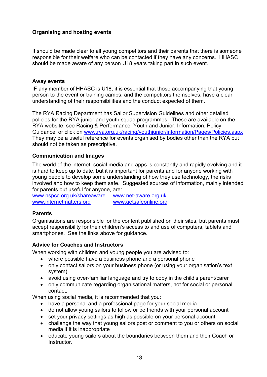# **Organising and hosting events**

It should be made clear to all young competitors and their parents that there is someone responsible for their welfare who can be contacted if they have any concerns. HHASC should be made aware of any person U18 years taking part in such event.

#### **Away events**

IF any member of HHASC is U18, it is essential that those accompanying that young person to the event or training camps, and the competitors themselves, have a clear understanding of their responsibilities and the conduct expected of them.

The RYA Racing Department has Sailor Supervision Guidelines and other detailed policies for the RYA junior and youth squad programmes. These are available on the RYA website, see Racing & Performance, Youth and Junior, Information, Policy Guidance, or click on www.rya.org.uk/racing/youthjunior/information/Pages/Policies.aspx They may be a useful reference for events organised by bodies other than the RYA but should not be taken as prescriptive.

#### **Communication and Images**

The world of the internet, social media and apps is constantly and rapidly evolving and it is hard to keep up to date, but it is important for parents and for anyone working with young people to develop some understanding of how they use technology, the risks involved and how to keep them safe. Suggested sources of information, mainly intended for parents but useful for anyone, are:

www.nspcc.org.uk/shareaware www.net-aware.org.uk www.internetmatters.org www.getsafeonline.org

#### **Parents**

Organisations are responsible for the content published on their sites, but parents must accept responsibility for their children's access to and use of computers, tablets and smartphones. See the links above for guidance.

#### **Advice for Coaches and Instructors**

When working with children and young people you are advised to:

- where possible have a business phone and a personal phone
- only contact sailors on your business phone (or using your organisation's text system)
- avoid using over-familiar language and try to copy in the child's parent/carer
- only communicate regarding organisational matters, not for social or personal contact.

When using social media, it is recommended that you:

- have a personal and a professional page for your social media
- do not allow young sailors to follow or be friends with your personal account
- set your privacy settings as high as possible on your personal account
- challenge the way that young sailors post or comment to you or others on social media if it is inappropriate
- educate young sailors about the boundaries between them and their Coach or **Instructor**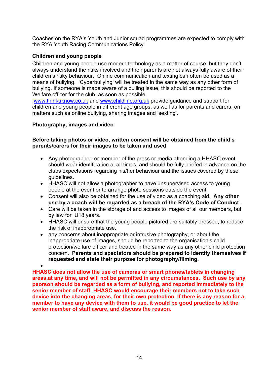Coaches on the RYA's Youth and Junior squad programmes are expected to comply with the RYA Youth Racing Communications Policy.

# **Children and young people**

Children and young people use modern technology as a matter of course, but they don't always understand the risks involved and their parents are not always fully aware of their children's risky behaviour. Online communication and texting can often be used as a means of bullying. 'Cyberbullying' will be treated in the same way as any other form of bullying. If someone is made aware of a bulling issue, this should be reported to the Welfare officer for the club, as soon as possible.

www.thinkuknow.co.uk and www.childline.org.uk provide guidance and support for children and young people in different age groups, as well as for parents and carers, on matters such as online bullying, sharing images and 'sexting'.

# **Photography, images and video**

#### **Before taking photos or video, written consent will be obtained from the child's parents/carers for their images to be taken and used**

- Any photographer, or member of the press or media attending a HHASC event should wear identification at all times, and should be fully briefed in advance on the clubs expectations regarding his/her behaviour and the issues covered by these guidelines.
- HHASC will not allow a photographer to have unsupervised access to young people at the event or to arrange photo sessions outside the event.
- Consent will also be obtained for the use of video as a coaching aid. **Any other use by a coach will be regarded as a breach of the RYA's Code of Conduct**.
- Care will be taken in the storage of and access to images of all our members, but by law for U18 years.
- HHASC will ensure that the young people pictured are suitably dressed, to reduce the risk of inappropriate use.
- any concerns about inappropriate or intrusive photography, or about the inappropriate use of images, should be reported to the organisation's child protection/welfare officer and treated in the same way as any other child protection concern. **Parents and spectators should be prepared to identify themselves if requested and state their purpose for photography/filming.**   $\bullet$

**HHASC does not allow the use of cameras or smart phones/tablets in changing areas,at any time, and will not be permitted in any circumstances. Such use by any peorson should be regarded as a form of bullying, and reported immediately to the senior member of staff. HHASC would encourage their members not to take such device into the changing areas, for their own protection. If there is any reason for a member to have any device with them to use, it would be good practice to let the senior member of staff aware, and discuss the reason.**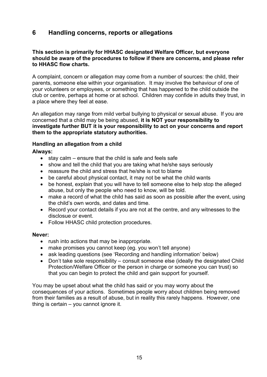# **6 Handling concerns, reports or allegations**

#### **This section is primarily for HHASC designated Welfare Officer, but everyone should be aware of the procedures to follow if there are concerns, and please refer to HHASC flow charts.**

A complaint, concern or allegation may come from a number of sources: the child, their parents, someone else within your organisation. It may involve the behaviour of one of your volunteers or employees, or something that has happened to the child outside the club or centre, perhaps at home or at school. Children may confide in adults they trust, in a place where they feel at ease.

An allegation may range from mild verbal bullying to physical or sexual abuse. If you are concerned that a child may be being abused, **it is NOT your responsibility to investigate further BUT it is your responsibility to act on your concerns and report them to the appropriate statutory authorities.**

#### **Handling an allegation from a child**

**Always:**

- $\bullet$  stay calm ensure that the child is safe and feels safe
- show and tell the child that you are taking what he/she says seriously
- reassure the child and stress that he/she is not to blame
- be careful about physical contact, it may not be what the child wants
- be honest, explain that you will have to tell someone else to help stop the alleged abuse, but only the people who need to know, will be told.
- make a record of what the child has said as soon as possible after the event, using the child's own words, and dates and time.
- Record your contact details if you are not at the centre, and any witnesses to the disclosue or event.
- Follow HHASC child protection procedures.

#### **Never:**

- rush into actions that may be inappropriate.
- make promises you cannot keep (eg. you won't tell anyone)
- ask leading questions (see 'Recording and handling information' below)
- Don't take sole responsibility consult someone else (ideally the designated Child Protection/Welfare Officer or the person in charge or someone you can trust) so that you can begin to protect the child and gain support for yourself.

You may be upset about what the child has said or you may worry about the consequences of your actions. Sometimes people worry about children being removed from their families as a result of abuse, but in reality this rarely happens. However, one thing is certain – you cannot ignore it.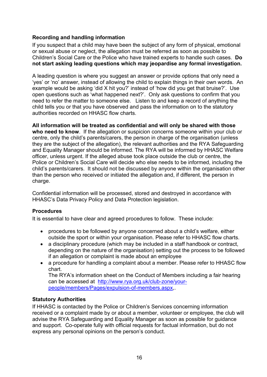# **Recording and handling information**

If you suspect that a child may have been the subject of any form of physical, emotional or sexual abuse or neglect, the allegation must be referred as soon as possible to Children's Social Care or the Police who have trained experts to handle such cases. **Do not start asking leading questions which may jeopardise any formal investigation.** 

A leading question is where you suggest an answer or provide options that only need a 'yes' or 'no' answer, instead of allowing the child to explain things in their own words. An example would be asking 'did X hit you?' instead of 'how did you get that bruise?'. Use open questions such as 'what happened next?'. Only ask questions to confirm that you need to refer the matter to someone else. Listen to and keep a record of anything the child tells you or that you have observed and pass the information on to the statutory authorities recorded on HHASC flow charts.

**All information will be treated as confidential and will only be shared with those who need to know**. If the allegation or suspicion concerns someone within your club or centre, only the child's parents/carers, the person in charge of the organisation (unless they are the subject of the allegation), the relevant authorities and the RYA Safeguarding and Equality Manager should be informed. The RYA will be informed by HHASC Welfare officer, unless urgent. If the alleged abuse took place outside the club or centre, the Police or Children's Social Care will decide who else needs to be informed, including the child's parents/carers. It should not be discussed by anyone within the organisation other than the person who received or initiated the allegation and, if different, the person in charge.

Confidential information will be processed, stored and destroyed in accordance with HHASC's Data Privacy Policy and Data Protection legislation.

# **Procedures**

It is essential to have clear and agreed procedures to follow. These include:

- procedures to be followed by anyone concerned about a child's welfare, either outside the sport or within your organisation. Please refer to HHASC flow charts.
- a disciplinary procedure (which may be included in a staff handbook or contract, depending on the nature of the organisation) setting out the process to be followed if an allegation or complaint is made about an employee
- a procedure for handling a complaint about a member. Please refer to HHASC flow chart.

The RYA's information sheet on the Conduct of Members including a fair hearing can be accessed at http://www.rya.org.uk/club-zone/yourpeople/members/Pages/expulsion-of-members.aspx,.

# **Statutory Authorities**

If HHASC is contacted by the Police or Children's Services concerning information received or a complaint made by or about a member, volunteer or employee, the club will advise the RYA Safeguarding and Equality Manager as soon as possible for guidance and support. Co-operate fully with official requests for factual information, but do not express any personal opinions on the person's conduct.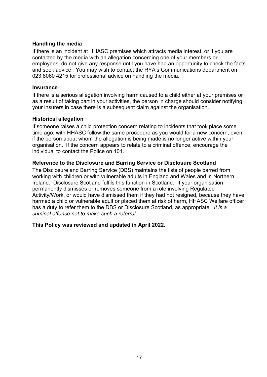#### **Handling the media**

If there is an incident at HHASC premises which attracts media interest, or if you are contacted by the media with an allegation concerning one of your members or employees, do not give any response until you have had an opportunity to check the facts and seek advice. You may wish to contact the RYA's Communications department on 023 8060 4215 for professional advice on handling the media.

#### **Insurance**

If there is a serious allegation involving harm caused to a child either at your premises or as a result of taking part in your activities, the person in charge should consider notifying your insurers in case there is a subsequent claim against the organisation.

#### **Historical allegation**

If someone raises a child protection concern relating to incidents that took place some time ago, with HHASC follow the same procedure as you would for a new concern, even if the person about whom the allegation is being made is no longer active within your organisation. If the concern appears to relate to a criminal offence, encourage the individual to contact the Police on 101.

## **Reference to the Disclosure and Barring Service or Disclosure Scotland**

The Disclosure and Barring Service (DBS) maintains the lists of people barred from working with children or with vulnerable adults in England and Wales and in Northern Ireland. Disclosure Scotland fulfils this function in Scotland. If your organisation permanently dismisses or removes someone from a role involving Regulated Activity/Work, or would have dismissed them if they had not resigned, because they have harmed a child or vulnerable adult or placed them at risk of harm, HHASC Welfare officer has a duty to refer them to the DBS or Disclosure Scotland, as appropriate. *It is a criminal offence not to make such a referral*.

#### **This Policy was reviewed and updated in April 2022.**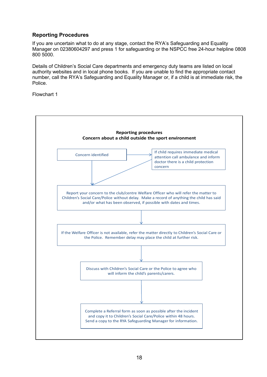# **Reporting Procedures**

If you are uncertain what to do at any stage, contact the RYA's Safeguarding and Equality Manager on 02380604297 and press 1 for safeguarding or the NSPCC free 24-hour helpline 0808 800 5000.

Details of Children's Social Care departments and emergency duty teams are listed on local authority websites and in local phone books. If you are unable to find the appropriate contact number, call the RYA's Safeguarding and Equality Manager or, if a child is at immediate risk, the Police.

Flowchart 1

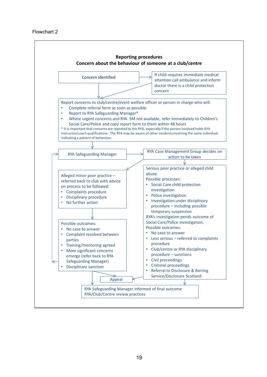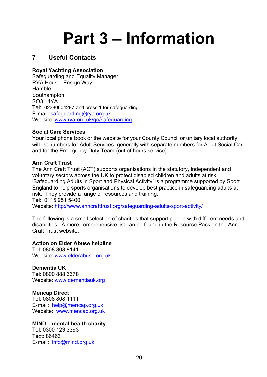# **Part 3 – Information**

# **7 Useful Contacts**

# **Royal Yachting Association**

Safeguarding and Equality Manager RYA House, Ensign Way Hamble Southampton SO31 4YA Tel: 02380604297 and press 1 for safeguarding E-mail: safeguarding@rya.org.uk Website: www.rya.org.uk/go/safeguarding

#### **Social Care Services**

Your local phone book or the website for your County Council or unitary local authority will list numbers for Adult Services, generally with separate numbers for Adult Social Care and for the Emergency Duty Team (out of hours service).

#### **Ann Craft Trust**

The Ann Craft Trust (ACT) supports organisations in the statutory, independent and voluntary sectors across the UK to protect disabled children and adults at risk. 'Safeguarding Adults in Sport and Physical Activity' is a programme supported by Sport England to help sports organisations to develop best practice in safeguarding adults at risk. They provide a range of resources and training. Tel: 0115 951 5400

Website: http://www.anncrafttrust.org/safeguarding-adults-sport-activity/

The following is a small selection of charities that support people with different needs and disabilities. A more comprehensive list can be found in the Resource Pack on the Ann Craft Trust website.

#### **Action on Elder Abuse helpline**

Tel: 0808 808 8141 Website: www.elderabuse.org.uk

**Dementia UK** Tel: 0800 888 6678 Website: www.dementiauk.org

**Mencap Direct**  Tel: 0808 808 1111 E-mail: help@mencap.org.uk Website: www.mencap.org.uk

# **MIND – mental health charity**

Tel: 0300 123 3393 Text: 86463 E-mail: info@mind.org.uk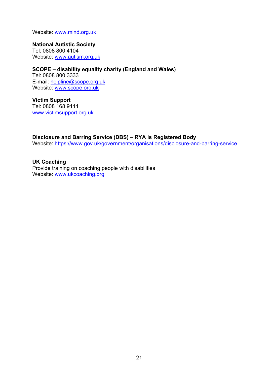Website: www.mind.org.uk

**National Autistic Society**  Tel: 0808 800 4104 Website: www.autism.org.uk

**SCOPE – disability equality charity (England and Wales)** Tel: 0808 800 3333 E-mail: helpline@scope.org.uk Website: www.scope.org.uk

**Victim Support** Tel: 0808 168 9111 www.victimsupport.org.uk

**Disclosure and Barring Service (DBS) – RYA is Registered Body** Website: https://www.gov.uk/government/organisations/disclosure-and-barring-service

**UK Coaching**  Provide training on coaching people with disabilities Website: www.ukcoaching.org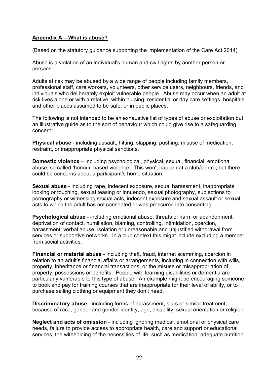# **Appendix A – What is abuse?**

(Based on the statutory guidance supporting the implementation of the Care Act 2014)

Abuse is a violation of an individual's human and civil rights by another person or persons.

Adults at risk may be abused by a wide range of people including family members, professional staff, care workers, volunteers, other service users, neighbours, friends, and individuals who deliberately exploit vulnerable people. Abuse may occur when an adult at risk lives alone or with a relative, within nursing, residential or day care settings, hospitals and other places assumed to be safe, or in public places.

The following is not intended to be an exhaustive list of types of abuse or exploitation but an illustrative guide as to the sort of behaviour which could give rise to a safeguarding concern:

**Physical abuse** - including assault, hitting, slapping, pushing, misuse of medication, restraint, or inappropriate physical sanctions.

**Domestic violence** – including psychological, physical, sexual, financial, emotional abuse; so called 'honour' based violence. This won't happen at a club/centre, but there could be concerns about a participant's home situation.

**Sexual abuse** - including rape, indecent exposure, sexual harassment, inappropriate looking or touching, sexual teasing or innuendo, sexual photography, subjections to pornography or witnessing sexual acts, indecent exposure and sexual assault or sexual acts to which the adult has not consented or was pressured into consenting.

**Psychological abuse** - including emotional abuse, threats of harm or abandonment, deprivation of contact, humiliation, blaming, controlling, intimidation, coercion, harassment, verbal abuse, isolation or unreasonable and unjustified withdrawal from services or supportive networks. In a club context this might include excluding a member from social activities.

**Financial or material abuse** - including theft, fraud, internet scamming, coercion in relation to an adult's financial affairs or arrangements, including in connection with wills, property, inheritance or financial transactions, or the misuse or misappropriation of property, possessions or benefits. People with learning disabilities or dementia are particularly vulnerable to this type of abuse. An example might be encouraging someone to book and pay for training courses that are inappropriate for their level of ability, or to purchase sailing clothing or equipment they don't need.

**Discriminatory abuse** - including forms of harassment, slurs or similar treatment; because of race, gender and gender identity, age, disability, sexual orientation or religion.

**Neglect and acts of omission** - including ignoring medical, emotional or physical care needs, failure to provide access to appropriate health, care and support or educational services, the withholding of the necessities of life, such as medication, adequate nutrition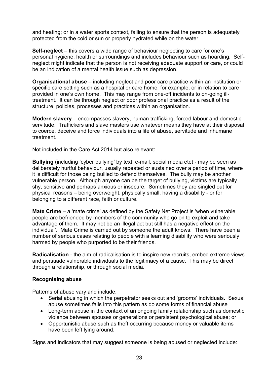and heating; or in a water sports context, failing to ensure that the person is adequately protected from the cold or sun or properly hydrated while on the water.

**Self-neglect** – this covers a wide range of behaviour neglecting to care for one's personal hygiene, health or surroundings and includes behaviour such as hoarding. Selfneglect might indicate that the person is not receiving adequate support or care, or could be an indication of a mental health issue such as depression.

**Organisational abuse** – including neglect and poor care practice within an institution or specific care setting such as a hospital or care home, for example, or in relation to care provided in one's own home. This may range from one-off incidents to on-going illtreatment. It can be through neglect or poor professional practice as a result of the structure, policies, processes and practices within an organisation.

**Modern slavery** – encompasses slavery, human trafficking, forced labour and domestic servitude. Traffickers and slave masters use whatever means they have at their disposal to coerce, deceive and force individuals into a life of abuse, servitude and inhumane treatment.

Not included in the Care Act 2014 but also relevant:

**Bullying** (including 'cyber bullying' by text, e-mail, social media etc) - may be seen as deliberately hurtful behaviour, usually repeated or sustained over a period of time, where it is difficult for those being bullied to defend themselves. The bully may be another vulnerable person. Although anyone can be the target of bullying, victims are typically shy, sensitive and perhaps anxious or insecure. Sometimes they are singled out for physical reasons – being overweight, physically small, having a disability - or for belonging to a different race, faith or culture.

**Mate Crime** – a 'mate crime' as defined by the Safety Net Project is 'when vulnerable people are befriended by members of the community who go on to exploit and take advantage of them. It may not be an illegal act but still has a negative effect on the individual'. Mate Crime is carried out by someone the adult knows. There have been a number of serious cases relating to people with a learning disability who were seriously harmed by people who purported to be their friends.

**Radicalisation** - the aim of radicalisation is to inspire new recruits, embed extreme views and persuade vulnerable individuals to the legitimacy of a cause. This may be direct through a relationship, or through social media.

#### **Recognising abuse**

Patterns of abuse vary and include:

- Serial abusing in which the perpetrator seeks out and 'grooms' individuals. Sexual abuse sometimes falls into this pattern as do some forms of financial abuse
- Long-term abuse in the context of an ongoing family relationship such as domestic violence between spouses or generations or persistent psychological abuse; or
- Opportunistic abuse such as theft occurring because money or valuable items have been left lying around.

Signs and indicators that may suggest someone is being abused or neglected include: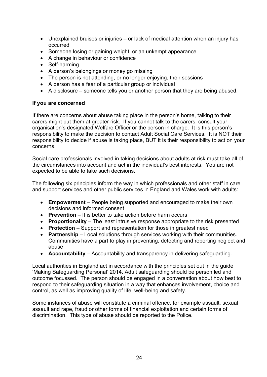- Unexplained bruises or injuries or lack of medical attention when an injury has occurred
- Someone losing or gaining weight, or an unkempt appearance
- A change in behaviour or confidence
- Self-harming
- A person's belongings or money go missing
- The person is not attending, or no longer enjoying, their sessions
- A person has a fear of a particular group or individual
- A disclosure someone tells you or another person that they are being abused.

#### **If you are concerned**

If there are concerns about abuse taking place in the person's home, talking to their carers might put them at greater risk. If you cannot talk to the carers, consult your organisation's designated Welfare Officer or the person in charge. It is this person's responsibility to make the decision to contact Adult Social Care Services. It is NOT their responsibility to decide if abuse is taking place, BUT it is their responsibility to act on your concerns.

Social care professionals involved in taking decisions about adults at risk must take all of the circumstances into account and act in the individual's best interests. You are not expected to be able to take such decisions.

The following six principles inform the way in which professionals and other staff in care and support services and other public services in England and Wales work with adults:

- **Empowerment** People being supported and encouraged to make their own decisions and informed consent
- **Prevention** It is better to take action before harm occurs
- **Proportionality** The least intrusive response appropriate to the risk presented
- **Protection** Support and representation for those in greatest need
- **Partnership** Local solutions through services working with their communities. Communities have a part to play in preventing, detecting and reporting neglect and abuse
- **Accountability** Accountability and transparency in delivering safeguarding.

Local authorities in England act in accordance with the principles set out in the guide 'Making Safeguarding Personal' 2014. Adult safeguarding should be person led and outcome focussed. The person should be engaged in a conversation about how best to respond to their safeguarding situation in a way that enhances involvement, choice and control, as well as improving quality of life, well-being and safety.

Some instances of abuse will constitute a criminal offence, for example assault, sexual assault and rape, fraud or other forms of financial exploitation and certain forms of discrimination. This type of abuse should be reported to the Police.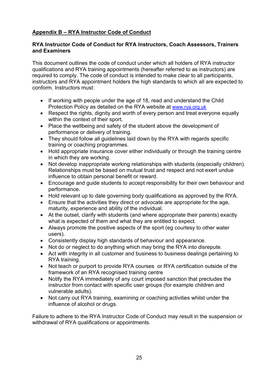# **Appendix B – RYA Instructor Code of Conduct**

# **RYA Instructor Code of Conduct for RYA Instructors, Coach Assessors, Trainers and Examiners**

This document outlines the code of conduct under which all holders of RYA instructor qualifications and RYA training appointments (hereafter referred to as instructors) are required to comply. The code of conduct is intended to make clear to all participants, instructors and RYA appointment holders the high standards to which all are expected to conform. Instructors must:

- If working with people under the age of 18, read and understand the Child Protection Policy as detailed on the RYA website at www.rya.org.uk
- Respect the rights, dignity and worth of every person and treat everyone equally within the context of their sport.
- Place the wellbeing and safety of the student above the development of performance or delivery of training.
- They should follow all guidelines laid down by the RYA with regards specific training or coaching programmes.
- Hold appropriate insurance cover either individually or through the training centre in which they are working.
- Not develop inappropriate working relationships with students (especially children). Relationships must be based on mutual trust and respect and not exert undue influence to obtain personal benefit or reward.
- Encourage and guide students to accept responsibility for their own behaviour and performance.
- Hold relevant up to date governing body qualifications as approved by the RYA.
- Ensure that the activities they direct or advocate are appropriate for the age, maturity, experience and ability of the individual.
- At the outset, clarify with students (and where appropriate their parents) exactly what is expected of them and what they are entitled to expect.
- Always promote the positive aspects of the sport (eg courtesy to other water users).
- Consistently display high standards of behaviour and appearance.
- Not do or neglect to do anything which may bring the RYA into disrepute.
- Act with integrity in all customer and business to business dealings pertaining to RYA training.
- Not teach or purport to provide RYA courses or RYA certification outside of the framework of an RYA recognised training centre
- Notify the RYA immediately of any court imposed sanction that precludes the instructor from contact with specific user groups (for example children and vulnerable adults).
- Not carry out RYA training, examining or coaching activities whilst under the influence of alcohol or drugs.

Failure to adhere to the RYA Instructor Code of Conduct may result in the suspension or withdrawal of RYA qualifications or appointments.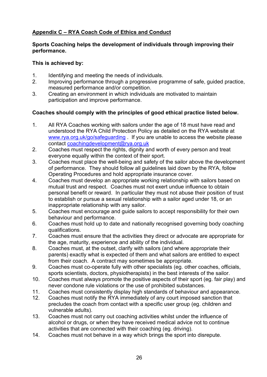# **Appendix C – RYA Coach Code of Ethics and Conduct**

# **Sports Coaching helps the development of individuals through improving their performance.**

## **This is achieved by:**

- 1. Identifying and meeting the needs of individuals.
- 2. Improving performance through a progressive programme of safe, guided practice, measured performance and/or competition.
- 3. Creating an environment in which individuals are motivated to maintain participation and improve performance.

# **Coaches should comply with the principles of good ethical practice listed below.**

- 1. All RYA Coaches working with sailors under the age of 18 must have read and understood the RYA Child Protection Policy as detailed on the RYA website at www.rya.org.uk/go/safeguarding . If you are unable to access the website please contact coachingdevelopment@rya.org.uk
- 2. Coaches must respect the rights, dignity and worth of every person and treat everyone equally within the context of their sport.
- 3. Coaches must place the well-being and safety of the sailor above the development of performance. They should follow all guidelines laid down by the RYA, follow Operating Procedures and hold appropriate insurance cover.
- 4. Coaches must develop an appropriate working relationship with sailors based on mutual trust and respect. Coaches must not exert undue influence to obtain personal benefit or reward. In particular they must not abuse their position of trust to establish or pursue a sexual relationship with a sailor aged under 18, or an inappropriate relationship with any sailor.
- 5. Coaches must encourage and guide sailors to accept responsibility for their own behaviour and performance.
- 6. Coaches must hold up to date and nationally recognised governing body coaching qualifications.
- 7. Coaches must ensure that the activities they direct or advocate are appropriate for the age, maturity, experience and ability of the individual.
- 8. Coaches must, at the outset, clarify with sailors (and where appropriate their parents) exactly what is expected of them and what sailors are entitled to expect from their coach. A contract may sometimes be appropriate.
- 9. Coaches must co-operate fully with other specialists (eg. other coaches, officials, sports scientists, doctors, physiotherapists) in the best interests of the sailor.
- 10. Coaches must always promote the positive aspects of their sport (eg. fair play) and never condone rule violations or the use of prohibited substances.
- 11. Coaches must consistently display high standards of behaviour and appearance.
- 12. Coaches must notify the RYA immediately of any court imposed sanction that precludes the coach from contact with a specific user group (eg. children and vulnerable adults).
- 13. Coaches must not carry out coaching activities whilst under the influence of alcohol or drugs, or when they have received medical advice not to continue activities that are connected with their coaching (eg. driving).
- 14. Coaches must not behave in a way which brings the sport into disrepute.